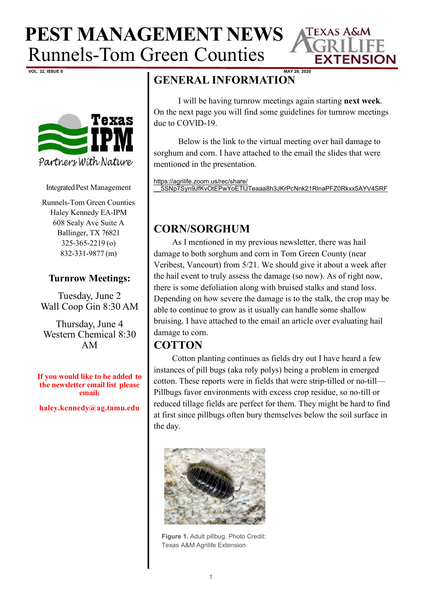



Integrated Pest Management

Runnels-Tom Green Counties Haley Kennedy EA-IPM 608 Sealy Ave Suite A Ballinger, TX 76821 325-365-2219 (o) 832-331-9877 (m)

#### **Turnrow Meetings:**

Tuesday, June 2 Wall Coop Gin 8:30 AM

Thursday, June 4 Western Chemical 8:30 AM

**If you would like to be added to the newsletter email list please email:**

**haley.kennedy@ag.tamu.edu**

## **GENERAL INFORMATION**

I will be having turnrow meetings again starting **next week**. On the next page you will find some guidelines for turnrow meetings due to COVID-19.

**TEXAS A&M** 

**EXTENSION** 

Below is the link to the virtual meeting over hail damage to sorghum and corn. I have attached to the email the slides that were mentioned in the presentation.

[https://agrilife.zoom.us/rec/share/](https://agrilife.zoom.us/rec/share/__5SNp7Syn9JfKvOtEPwYoETIJTeaaa8h3JKrPcNnk21RlnaPFZ0Rkxx5AYV4SRF) [\\_\\_5SNp7Syn9JfKvOtEPwYoETIJTeaaa8h3JKrPcNnk21RlnaPFZ0Rkxx5AYV4SRF](https://agrilife.zoom.us/rec/share/__5SNp7Syn9JfKvOtEPwYoETIJTeaaa8h3JKrPcNnk21RlnaPFZ0Rkxx5AYV4SRF)

### **CORN/SORGHUM**

As I mentioned in my previous newsletter, there was hail damage to both sorghum and corn in Tom Green County (near Veribest, Vancourt) from 5/21. We should give it about a week after the hail event to truly assess the damage (so now). As of right now, there is some defoliation along with bruised stalks and stand loss. Depending on how severe the damage is to the stalk, the crop may be able to continue to grow as it usually can handle some shallow bruising. I have attached to the email an article over evaluating hail damage to corn.

### **COTTON**

Cotton planting continues as fields dry out I have heard a few instances of pill bugs (aka roly polys) being a problem in emerged cotton. These reports were in fields that were strip-tilled or no-till— Pillbugs favor environments with excess crop residue, so no-till or reduced tillage fields are perfect for them. They might be hard to find at first since pillbugs often bury themselves below the soil surface in the day.



**Figure 1.** Adult pillbug. Photo Credit: Texas A&M Agrilife Extension